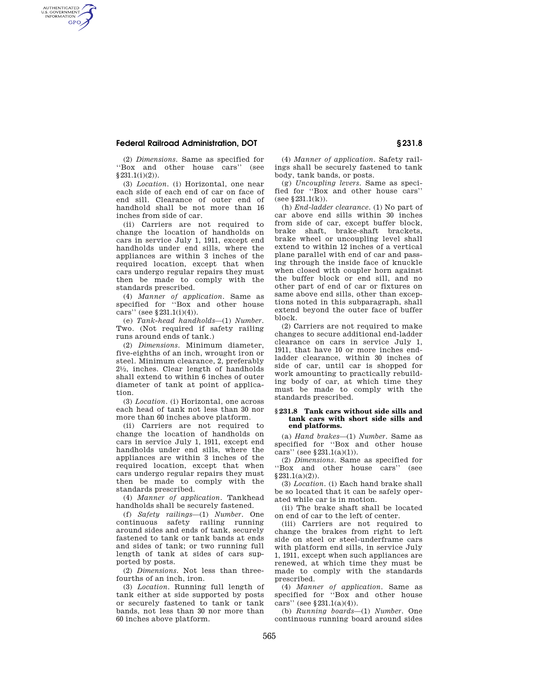## **Federal Railroad Administration, DOT § 231.8**

AUTHENTICATED<br>U.S. GOVERNMENT<br>INFORMATION **GPO** 

> (2) *Dimensions.* Same as specified for ''Box and other house cars'' (see  $§231.1(i)(2)$ ).

> (3) *Location.* (i) Horizontal, one near each side of each end of car on face of end sill. Clearance of outer end of handhold shall be not more than 16 inches from side of car.

> (ii) Carriers are not required to change the location of handholds on cars in service July 1, 1911, except end handholds under end sills, where the appliances are within 3 inches of the required location, except that when cars undergo regular repairs they must then be made to comply with the standards prescribed.

(4) *Manner of application.* Same as specified for ''Box and other house cars'' (see §231.1(i)(4)).

(e) *Tank-head handholds*—(1) *Number.*  Two. (Not required if safety railing runs around ends of tank.)

(2) *Dimensions.* Minimum diameter, five-eighths of an inch, wrought iron or steel. Minimum clearance, 2, preferably 21⁄2, inches. Clear length of handholds shall extend to within 6 inches of outer diameter of tank at point of application.

(3) *Location.* (i) Horizontal, one across each head of tank not less than 30 nor more than 60 inches above platform.

(ii) Carriers are not required to change the location of handholds on cars in service July 1, 1911, except end handholds under end sills, where the appliances are within 3 inches of the required location, except that when cars undergo regular repairs they must then be made to comply with the standards prescribed.

(4) *Manner of application.* Tankhead handholds shall be securely fastened.

(f) *Safety railings*—(1) *Number.* One continuous safety railing running around sides and ends of tank, securely fastened to tank or tank bands at ends and sides of tank; or two running full length of tank at sides of cars supported by posts.

(2) *Dimensions.* Not less than threefourths of an inch, iron.

(3) *Location.* Running full length of tank either at side supported by posts or securely fastened to tank or tank bands, not less than 30 nor more than 60 inches above platform.

(4) *Manner of application.* Safety railings shall be securely fastened to tank body, tank bands, or posts.

(g) *Uncoupling levers.* Same as specified for ''Box and other house cars'' (see §231.1(k)).

(h) *End-ladder clearance.* (1) No part of car above end sills within 30 inches from side of car, except buffer block, brake shaft, brake-shaft brackets, brake wheel or uncoupling level shall extend to within 12 inches of a vertical plane parallel with end of car and passing through the inside face of knuckle when closed with coupler horn against the buffer block or end sill, and no other part of end of car or fixtures on same above end sills, other than exceptions noted in this subparagraph, shall extend beyond the outer face of buffer block.

(2) Carriers are not required to make changes to secure additional end-ladder clearance on cars in service July 1, 1911, that have 10 or more inches endladder clearance, within 30 inches of side of car, until car is shopped for work amounting to practically rebuilding body of car, at which time they must be made to comply with the standards prescribed.

## **§ 231.8 Tank cars without side sills and tank cars with short side sills and end platforms.**

(a) *Hand brakes*—(1) *Number.* Same as specified for ''Box and other house cars'' (see  $§231.1(a)(1)$ ).

(2) *Dimensions.* Same as specified for ''Box and other house cars'' (see  $§231.1(a)(2)$ .

(3) *Location.* (i) Each hand brake shall be so located that it can be safely operated while car is in motion.

(ii) The brake shaft shall be located on end of car to the left of center.

(iii) Carriers are not required to change the brakes from right to left side on steel or steel-underframe cars with platform end sills, in service July 1, 1911, except when such appliances are renewed, at which time they must be made to comply with the standards prescribed.

(4) *Manner of application.* Same as specified for "Box and other house cars'' (see  $§231.1(a)(4)$ ).

(b) *Running boards*—(1) *Number.* One continuous running board around sides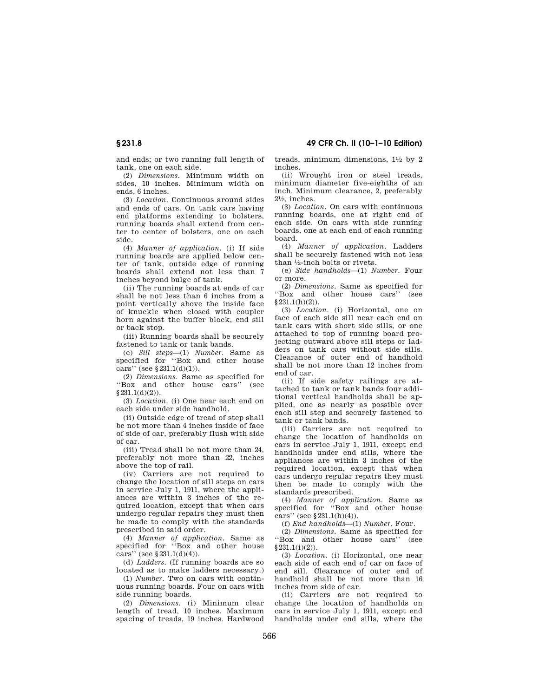and ends; or two running full length of tank, one on each side.

(2) *Dimensions.* Minimum width on sides, 10 inches. Minimum width on ends, 6 inches.

(3) *Location.* Continuous around sides and ends of cars. On tank cars having end platforms extending to bolsters, running boards shall extend from center to center of bolsters, one on each side.

(4) *Manner of application.* (i) If side running boards are applied below center of tank, outside edge of running boards shall extend not less than 7 inches beyond bulge of tank.

(ii) The running boards at ends of car shall be not less than 6 inches from a point vertically above the inside face of knuckle when closed with coupler horn against the buffer block, end sill or back stop.

(iii) Running boards shall be securely fastened to tank or tank bands.

(c) *Sill steps*—(1) *Number.* Same as specified for ''Box and other house cars'' (see §231.1(d)(1)).

(2) *Dimensions.* Same as specified for ''Box and other house cars'' (see  $§231.1(d)(2)).$ 

(3) *Location.* (i) One near each end on each side under side handhold.

(ii) Outside edge of tread of step shall be not more than 4 inches inside of face of side of car, preferably flush with side of car.

(iii) Tread shall be not more than 24, preferably not more than 22, inches above the top of rail.

(iv) Carriers are not required to change the location of sill steps on cars in service July 1, 1911, where the appliances are within 3 inches of the required location, except that when cars undergo regular repairs they must then be made to comply with the standards prescribed in said order.

(4) *Manner of application.* Same as specified for ''Box and other house cars'' (see  $$231.1(d)(4)$ ).

(d) *Ladders.* (If running boards are so located as to make ladders necessary.)

(1) *Number.* Two on cars with continuous running boards. Four on cars with side running boards.

(2) *Dimensions.* (i) Minimum clear length of tread, 10 inches. Maximum spacing of treads, 19 inches. Hardwood treads, minimum dimensions,  $1\frac{1}{2}$  by 2 inches.

(ii) Wrought iron or steel treads, minimum diameter five-eighths of an inch. Minimum clearance, 2, preferably  $2\frac{1}{2}$ , inches.

(3) *Location.* On cars with continuous running boards, one at right end of each side. On cars with side running boards, one at each end of each running board.

(4) *Manner of application.* Ladders shall be securely fastened with not less than 1⁄2-inch bolts or rivets.

(e) *Side handholds*—(1) *Number.* Four or more.

(2) *Dimensions.* Same as specified for ''Box and other house cars'' (see  $§ 231.1(h)(2)).$ 

(3) *Location.* (i) Horizontal, one on face of each side sill near each end on tank cars with short side sills, or one attached to top of running board projecting outward above sill steps or ladders on tank cars without side sills. Clearance of outer end of handhold shall be not more than 12 inches from end of car.

(ii) If side safety railings are attached to tank or tank bands four additional vertical handholds shall be applied, one as nearly as possible over each sill step and securely fastened to tank or tank bands.

(iii) Carriers are not required to change the location of handholds on cars in service July 1, 1911, except end handholds under end sills, where the appliances are within 3 inches of the required location, except that when cars undergo regular repairs they must then be made to comply with the standards prescribed.

(4) *Manner of application.* Same as specified for "Box and other house cars'' (see  $$231.1(h)(4)$ ).

(f) *End handholds*—(1) *Number.* Four.

(2) *Dimensions.* Same as specified for ''Box and other house cars'' (see  $§231.1(i)(2)).$ 

(3) *Location.* (i) Horizontal, one near each side of each end of car on face of end sill. Clearance of outer end of handhold shall be not more than 16 inches from side of car.

(ii) Carriers are not required to change the location of handholds on cars in service July 1, 1911, except end handholds under end sills, where the